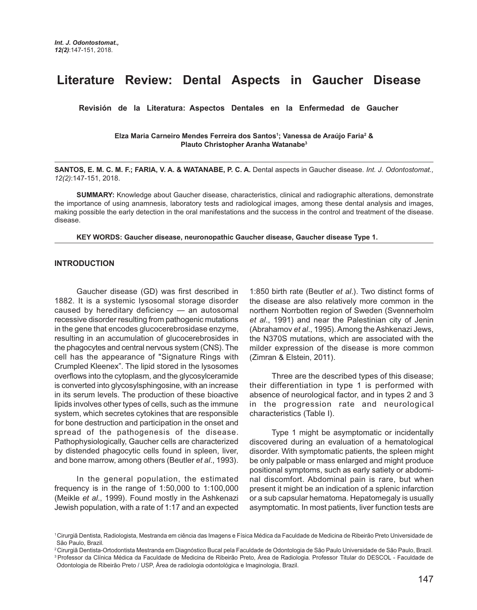# **Literature Review: Dental Aspects in Gaucher Disease**

**Revisión de la Literatura: Aspectos Dentales en la Enfermedad de Gaucher** 

**Elza Maria Carneiro Mendes Ferreira dos Santos1 ; Vanessa de Araújo Faria2 & Plauto Christopher Aranha Watanabe3**

**SANTOS, E. M. C. M. F.; FARIA, V. A. & WATANABE, P. C. A.** Dental aspects in Gaucher disease. *Int. J. Odontostomat., 12(2)*:147-151, 2018.

**SUMMARY:** Knowledge about Gaucher disease, characteristics, clinical and radiographic alterations, demonstrate the importance of using anamnesis, laboratory tests and radiological images, among these dental analysis and images, making possible the early detection in the oral manifestations and the success in the control and treatment of the disease. disease.

**KEY WORDS: Gaucher disease, neuronopathic Gaucher disease, Gaucher disease Type 1.**

### **INTRODUCTION**

Gaucher disease (GD) was first described in 1882. It is a systemic lysosomal storage disorder caused by hereditary deficiency — an autosomal recessive disorder resulting from pathogenic mutations in the gene that encodes glucocerebrosidase enzyme, resulting in an accumulation of glucocerebrosides in the phagocytes and central nervous system (CNS). The cell has the appearance of "Signature Rings with Crumpled Kleenex". The lipid stored in the lysosomes overflows into the cytoplasm, and the glycosylceramide is converted into glycosylsphingosine, with an increase in its serum levels. The production of these bioactive lipids involves other types of cells, such as the immune system, which secretes cytokines that are responsible for bone destruction and participation in the onset and spread of the pathogenesis of the disease. Pathophysiologically, Gaucher cells are characterized by distended phagocytic cells found in spleen, liver, and bone marrow, among others (Beutler *et al*., 1993).

In the general population, the estimated frequency is in the range of 1:50,000 to 1:100,000 (Meikle *et al*., 1999). Found mostly in the Ashkenazi Jewish population, with a rate of 1:17 and an expected 1:850 birth rate (Beutler *et al*.). Two distinct forms of the disease are also relatively more common in the northern Norrbotten region of Sweden (Svennerholm *et al*., 1991) and near the Palestinian city of Jenin (Abrahamov *et al*., 1995). Among the Ashkenazi Jews, the N370S mutations, which are associated with the milder expression of the disease is more common (Zimran & Elstein, 2011).

Three are the described types of this disease; their differentiation in type 1 is performed with absence of neurological factor, and in types 2 and 3 in the progression rate and neurological characteristics (Table I).

Type 1 might be asymptomatic or incidentally discovered during an evaluation of a hematological disorder. With symptomatic patients, the spleen might be only palpable or mass enlarged and might produce positional symptoms, such as early satiety or abdominal discomfort. Abdominal pain is rare, but when present it might be an indication of a splenic infarction or a sub capsular hematoma. Hepatomegaly is usually asymptomatic. In most patients, liver function tests are

<sup>1</sup> Cirurgiã Dentista, Radiologista, Mestranda em ciência das Imagens e Física Médica da Faculdade de Medicina de Ribeirão Preto Universidade de São Paulo, Brazil.

<sup>2</sup> Cirurgiã Dentista-Ortodontista Mestranda em Diagnóstico Bucal pela Faculdade de Odontologia de São Paulo Universidade de São Paulo, Brazil. 3 Professor da Clínica Médica da Faculdade de Medicina de Ribeirão Preto, Área de Radiologia. Professor Titular do DESCOL - Faculdade de Odontologia de Ribeirão Preto / USP, Área de radiologia odontológica e Imaginologia, Brazil.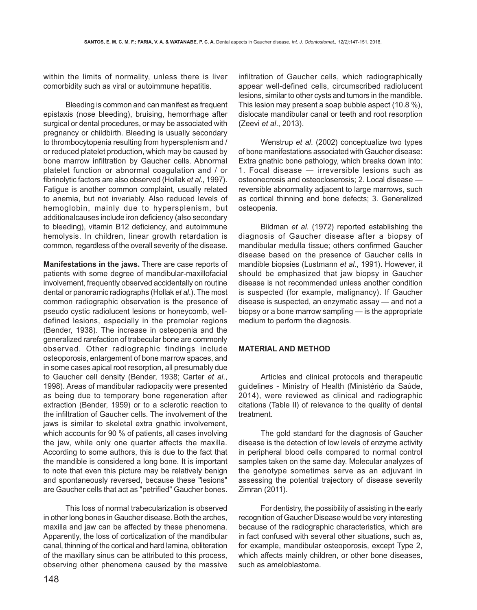within the limits of normality, unless there is liver comorbidity such as viral or autoimmune hepatitis.

Bleeding is common and can manifest as frequent epistaxis (nose bleeding), bruising, hemorrhage after surgical or dental procedures, or may be associated with pregnancy or childbirth. Bleeding is usually secondary to thrombocytopenia resulting from hypersplenism and / or reduced platelet production, which may be caused by bone marrow infiltration by Gaucher cells. Abnormal platelet function or abnormal coagulation and / or fibrinolytic factors are also observed (Hollak *et al*., 1997). Fatigue is another common complaint, usually related to anemia, but not invariably. Also reduced levels of hemoglobin, mainly due to hypersplenism, but additionalcauses include iron deficiency (also secondary to bleeding), vitamin B12 deficiency, and autoimmune hemolysis. In children, linear growth retardation is common, regardless of the overall severity of the disease.

**Manifestations in the jaws.** There are case reports of patients with some degree of mandibular-maxillofacial involvement, frequently observed accidentally on routine dental or panoramic radiographs (Hollak *et al*.). The most common radiographic observation is the presence of pseudo cystic radiolucent lesions or honeycomb, welldefined lesions, especially in the premolar regions (Bender, 1938). The increase in osteopenia and the generalized rarefaction of trabecular bone are commonly observed. Other radiographic findings include osteoporosis, enlargement of bone marrow spaces, and in some cases apical root resorption, all presumably due to Gaucher cell density (Bender, 1938; Carter *et al*., 1998). Areas of mandibular radiopacity were presented as being due to temporary bone regeneration after extraction (Bender, 1959) or to a sclerotic reaction to the infiltration of Gaucher cells. The involvement of the jaws is similar to skeletal extra gnathic involvement, which accounts for 90 % of patients, all cases involving the jaw, while only one quarter affects the maxilla. According to some authors, this is due to the fact that the mandible is considered a long bone. It is important to note that even this picture may be relatively benign and spontaneously reversed, because these "lesions" are Gaucher cells that act as "petrified" Gaucher bones.

This loss of normal trabecularization is observed in other long bones in Gaucher disease. Both the arches, maxilla and jaw can be affected by these phenomena. Apparently, the loss of corticalization of the mandibular canal, thinning of the cortical and hard lamina, obliteration of the maxillary sinus can be attributed to this process, observing other phenomena caused by the massive infiltration of Gaucher cells, which radiographically appear well-defined cells, circumscribed radiolucent lesions, similar to other cysts and tumors in the mandible. This lesion may present a soap bubble aspect (10.8 %), dislocate mandibular canal or teeth and root resorption (Zeevi *et al*., 2013).

Wenstrup *et al*. (2002) conceptualize two types of bone manifestations associated with Gaucher disease: Extra gnathic bone pathology, which breaks down into: 1. Focal disease — irreversible lesions such as osteonecrosis and osteocloserosis; 2. Local disease reversible abnormality adjacent to large marrows, such as cortical thinning and bone defects; 3. Generalized osteopenia.

Bildman *et al*. (1972) reported establishing the diagnosis of Gaucher disease after a biopsy of mandibular medulla tissue; others confirmed Gaucher disease based on the presence of Gaucher cells in mandible biopsies (Lustmann *et al*., 1991). However, it should be emphasized that jaw biopsy in Gaucher disease is not recommended unless another condition is suspected (for example, malignancy). If Gaucher disease is suspected, an enzymatic assay — and not a biopsy or a bone marrow sampling — is the appropriate medium to perform the diagnosis.

## **MATERIAL AND METHOD**

Articles and clinical protocols and therapeutic guidelines - Ministry of Health (Ministério da Saúde, 2014), were reviewed as clinical and radiographic citations (Table II) of relevance to the quality of dental treatment.

The gold standard for the diagnosis of Gaucher disease is the detection of low levels of enzyme activity in peripheral blood cells compared to normal control samples taken on the same day. Molecular analyzes of the genotype sometimes serve as an adjuvant in assessing the potential trajectory of disease severity Zimran (2011).

For dentistry, the possibility of assisting in the early recognition of Gaucher Disease would be very interesting because of the radiographic characteristics, which are in fact confused with several other situations, such as, for example, mandibular osteoporosis, except Type 2, which affects mainly children, or other bone diseases, such as ameloblastoma.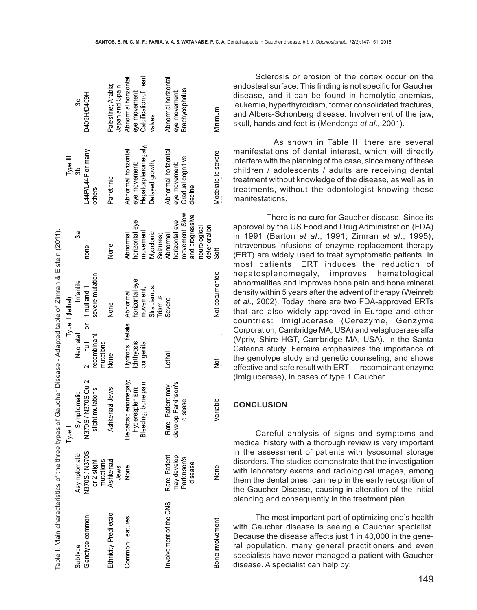| İ                    |  |
|----------------------|--|
|                      |  |
|                      |  |
|                      |  |
|                      |  |
|                      |  |
|                      |  |
|                      |  |
|                      |  |
|                      |  |
|                      |  |
| ľ                    |  |
|                      |  |
|                      |  |
|                      |  |
|                      |  |
|                      |  |
|                      |  |
|                      |  |
|                      |  |
|                      |  |
|                      |  |
|                      |  |
|                      |  |
|                      |  |
|                      |  |
|                      |  |
|                      |  |
|                      |  |
| <b>SSS</b><br>-<br>- |  |
|                      |  |
| J                    |  |
| ֚֚֬                  |  |
|                      |  |
|                      |  |
|                      |  |
|                      |  |
|                      |  |
|                      |  |
|                      |  |
| $\frac{1}{2}$        |  |
| l                    |  |
|                      |  |
| l<br>.               |  |
|                      |  |
|                      |  |
|                      |  |
|                      |  |
|                      |  |
|                      |  |
|                      |  |
|                      |  |
|                      |  |
|                      |  |
|                      |  |
|                      |  |
|                      |  |
|                      |  |
|                      |  |
|                      |  |
|                      |  |
|                      |  |
|                      |  |
|                      |  |
|                      |  |
|                      |  |
|                      |  |
|                      |  |
|                      |  |
|                      |  |
|                      |  |
|                      |  |
|                      |  |
|                      |  |
|                      |  |
|                      |  |
|                      |  |
|                      |  |
|                      |  |
|                      |  |
|                      |  |
|                      |  |
|                      |  |
|                      |  |
|                      |  |
|                      |  |
|                      |  |
|                      |  |
|                      |  |
|                      |  |
|                      |  |
|                      |  |
|                      |  |
|                      |  |
|                      |  |
|                      |  |
|                      |  |
|                      |  |
|                      |  |
|                      |  |
|                      |  |
|                      |  |
|                      |  |
|                      |  |
|                      |  |
|                      |  |
|                      |  |
| آڪ<br>س              |  |

| Table I. Main characteristics of the three types of Gaucher Disease - Adapted table of Zimran & Elstein (2011). |                          |                      |                          |                  |                               |                     |                        |
|-----------------------------------------------------------------------------------------------------------------|--------------------------|----------------------|--------------------------|------------------|-------------------------------|---------------------|------------------------|
|                                                                                                                 |                          | Type I               |                          | Type II (lethal) |                               | Type III            |                        |
| Subtype                                                                                                         | Asymptomatic             | Symptomatic          | Neonatal                 | Infantile        | నిథె                          | 3b                  | <u>လိ</u>              |
| Genotype common                                                                                                 | N370S/N370S              | N370S/N370S Ou 2     | $2 \quad null$           | or 1 null and 1  | none                          | L44P/L44P or many   | D409H/D409H            |
|                                                                                                                 | mutations<br>or 2 slight | slight mutations     | recombinant<br>mutations | severe mutation  |                               | others              |                        |
| Ethnicity Predileção                                                                                            | Ashkenazi                | Ashkenazi Jews       | None                     | None             | None                          | Panethnic           | Palestine; Arabia;     |
|                                                                                                                 | Jews                     |                      |                          |                  |                               |                     | Japan and Spain        |
| <b>Common Features</b>                                                                                          | None                     | Hepatospleno megaly; | Hydrops fetalis Abnormal |                  | Abnormal                      | Abnormal horizontal | Abnormal horizontal    |
|                                                                                                                 |                          | Hyperesplenism;      | chthyosis                | horizontal eye   | horizontal eye                | eye movement;       | eye movement;          |
|                                                                                                                 |                          | Bleeding; bone pain  | congenita                | movement;        | movement.                     | Hepatosplenomegaly; | Calcification of heart |
|                                                                                                                 |                          |                      |                          | Strabismus;      | Myoclonic                     | Delayed growth;     | valves                 |
|                                                                                                                 |                          |                      |                          | Trismus          | Seizures;                     |                     |                        |
| nvolvement of the CNS                                                                                           | Rare; Patient            | Rare; Patient may    | Lethal                   | Severe           | Abnormal                      | Abnormal horizontal | Abnormal horizontal    |
|                                                                                                                 | may develop              | develop Parkinson's  |                          |                  | horizontal eye                | eye movement;       | eye movement;          |
|                                                                                                                 | Parkinson's              | disease              |                          |                  | movement; Slow                | Gradual cognitive   | Brachycephalus;        |
|                                                                                                                 | disease                  |                      |                          |                  | and progressive               | dedine              |                        |
|                                                                                                                 |                          |                      |                          |                  | deterioration<br>neurological |                     |                        |
| Bone involvement                                                                                                | None                     | /ariable             | ğ                        | Not documented   | క్ట్                          | Moderate to severe  | Minimum                |

Sclerosis or erosion of the cortex occur on the endosteal surface. This finding is not specific for Gaucher disease, and it can be found in hemolytic anemias, leukemia, hyperthyroidism, former consolidated fractures, and Albers-Schonberg disease. Involvement of the jaw, skull, hands and feet is (Mendonça *et al*., 2001).

 As shown in Table II, there are several manifestations of dental interest, which will directly interfere with the planning of the case, since many of these children / adolescents / adults are receiving dental treatment without knowledge of the disease, as well as in treatments, without the odontologist knowing these manifestations.

 There is no cure for Gaucher disease. Since its approval by the US Food and Drug Administration (FDA) in 1991 (Barton *et al*., 1991; Zimran *et al*., 1995), intravenous infusions of enzyme replacement therapy (ERT) are widely used to treat symptomatic patients. In most patients, ERT induces the reduction of hepatosplenomegaly, improves hematological abnormalities and improves bone pain and bone mineral density within 5 years after the advent of therapy (Weinreb *et al*., 2002). Today, there are two FDA-approved ERTs that are also widely approved in Europe and other countries: Imiglucerase (Cerezyme, Genzyme Corporation, Cambridge MA, USA) and velaglucerase alfa (Vpriv, Shire HGT, Cambridge MA, USA). In the Santa Catarina study, Ferreira emphasizes the importance of the genotype study and genetic counseling, and shows effective and safe result with ERT — recombinant enzyme (Imiglucerase), in cases of type 1 Gaucher.

# **CONCLUSION**

 $\ddot{\phantom{a}}$ 

 $\mathcal{L}$  ( i)  $\mathcal{L}$  ( i)  $\mathcal{L}$  ( i)  $\mathcal{L}$  ( i)  $\mathcal{L}$  ( i)  $\mathcal{L}$  ( i)  $\mathcal{L}$  ( i)  $\mathcal{L}$  ( i)  $\mathcal{L}$  ( i)  $\mathcal{L}$  ( i)  $\mathcal{L}$  ( i)  $\mathcal{L}$  ( i)  $\mathcal{L}$  ( i)  $\mathcal{L}$  ( i)  $\mathcal{L}$  ( i)  $\mathcal{L}$  (

Careful analysis of signs and symptoms and medical history with a thorough review is very important in the assessment of patients with lysosomal storage disorders. The studies demonstrate that the investigation with laboratory exams and radiological images, among them the dental ones, can help in the early recognition of the Gaucher Disease, causing in alteration of the initial planning and consequently in the treatment plan.

The most important part of optimizing one's health with Gaucher disease is seeing a Gaucher specialist. Because the disease affects just 1 in 40,000 in the general population, many general practitioners and even specialists have never managed a patient with Gaucher disease. A specialist can help by: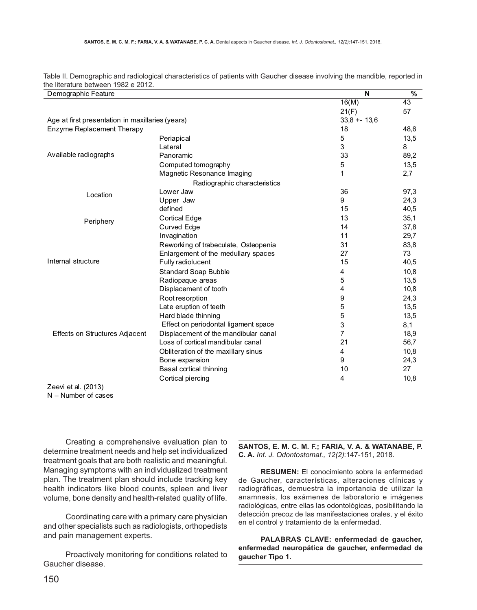| Demographic Feature                                  |                                      | N              | $\%$            |
|------------------------------------------------------|--------------------------------------|----------------|-----------------|
|                                                      |                                      | 16(M)          | $\overline{43}$ |
|                                                      |                                      | 21(F)          | 57              |
| Age at first presentation in maxillaries (years)     |                                      | $33,8 + 13,6$  |                 |
| Enzyme Replacement Therapy                           |                                      | 18             | 48,6            |
|                                                      | Periapical                           | 5              | 13,5            |
|                                                      | Lateral                              | 3              | 8               |
| Available radiographs                                | Panoramic                            | 33             | 89,2            |
|                                                      | Computed tomography                  | 5              | 13,5            |
|                                                      | Magnetic Resonance Imaging           | 1              | 2,7             |
|                                                      | Radiographic characteristics         |                |                 |
| Location                                             | Lower Jaw                            | 36             | 97,3            |
|                                                      | Upper Jaw                            | 9              | 24,3            |
|                                                      | defined                              | 15             | 40,5            |
| Periphery                                            | <b>Cortical Edge</b>                 | 13             | 35,1            |
|                                                      | Curved Edge                          | 14             | 37,8            |
|                                                      | Invagination                         | 11             | 29,7            |
|                                                      | Reworking of trabeculate, Osteopenia | 31             | 83,8            |
|                                                      | Enlargement of the medullary spaces  | 27             | 73              |
| Internal structure<br>Effects on Structures Adjacent | Fully radiolucent                    | 15             | 40,5            |
|                                                      | <b>Standard Soap Bubble</b>          | 4              | 10,8            |
|                                                      | Radiopaque areas                     | 5              | 13,5            |
|                                                      | Displacement of tooth                | 4              | 10,8            |
|                                                      | Root resorption                      | 9              | 24,3            |
|                                                      | Late eruption of teeth               | 5              | 13,5            |
|                                                      | Hard blade thinning                  | 5              | 13,5            |
|                                                      | Effect on periodontal ligament space | 3              | 8,1             |
|                                                      | Displacement of the mandibular canal | $\overline{7}$ | 18,9            |
|                                                      | Loss of cortical mandibular canal    | 21             | 56,7            |
|                                                      | Obliteration of the maxillary sinus  | 4              | 10,8            |
|                                                      | Bone expansion                       | 9              | 24,3            |
|                                                      | Basal cortical thinning              | 10             | 27              |
|                                                      | Cortical piercing                    | 4              | 10,8            |
| Zeevi et al. (2013)                                  |                                      |                |                 |
| $N -$ Number of cases                                |                                      |                |                 |

Table II. Demographic and radiological characteristics of patients with Gaucher disease involving the mandible, reported in the literature between 1982 e 2012.

Creating a comprehensive evaluation plan to determine treatment needs and help set individualized treatment goals that are both realistic and meaningful. Managing symptoms with an individualized treatment plan. The treatment plan should include tracking key health indicators like blood counts, spleen and liver volume, bone density and health-related quality of life.

Coordinating care with a primary care physician and other specialists such as radiologists, orthopedists and pain management experts.

Proactively monitoring for conditions related to Gaucher disease.

**SANTOS, E. M. C. M. F.; FARIA, V. A. & WATANABE, P. C. A.** *Int. J. Odontostomat., 12(2)*:147-151, 2018.

**RESUMEN:** El conocimiento sobre la enfermedad de Gaucher, características, alteraciones clínicas y radiográficas, demuestra la importancia de utilizar la anamnesis, los exámenes de laboratorio e imágenes radiológicas, entre ellas las odontológicas, posibilitando la detección precoz de las manifestaciones orales, y el éxito en el control y tratamiento de la enfermedad.

**PALABRAS CLAVE: enfermedad de gaucher, enfermedad neuropática de gaucher, enfermedad de gaucher Tipo 1.**